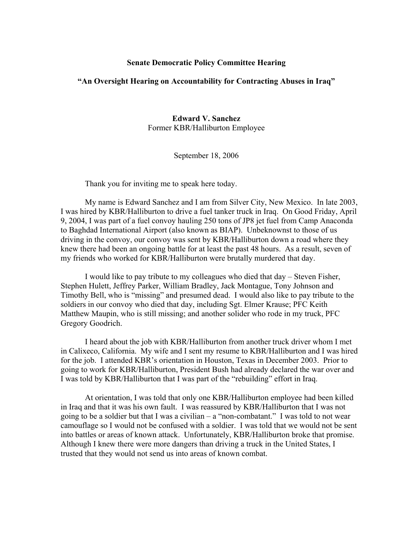## **Senate Democratic Policy Committee Hearing**

## **"An Oversight Hearing on Accountability for Contracting Abuses in Iraq"**

**Edward V. Sanchez**  Former KBR/Halliburton Employee

September 18, 2006

Thank you for inviting me to speak here today.

My name is Edward Sanchez and I am from Silver City, New Mexico. In late 2003, I was hired by KBR/Halliburton to drive a fuel tanker truck in Iraq. On Good Friday, April 9, 2004, I was part of a fuel convoy hauling 250 tons of JP8 jet fuel from Camp Anaconda to Baghdad International Airport (also known as BIAP). Unbeknownst to those of us driving in the convoy, our convoy was sent by KBR/Halliburton down a road where they knew there had been an ongoing battle for at least the past 48 hours. As a result, seven of my friends who worked for KBR/Halliburton were brutally murdered that day.

I would like to pay tribute to my colleagues who died that day – Steven Fisher, Stephen Hulett, Jeffrey Parker, William Bradley, Jack Montague, Tony Johnson and Timothy Bell, who is "missing" and presumed dead. I would also like to pay tribute to the soldiers in our convoy who died that day, including Sgt. Elmer Krause; PFC Keith Matthew Maupin, who is still missing; and another solider who rode in my truck, PFC Gregory Goodrich.

I heard about the job with KBR/Halliburton from another truck driver whom I met in Calixeco, California. My wife and I sent my resume to KBR/Halliburton and I was hired for the job. I attended KBR's orientation in Houston, Texas in December 2003. Prior to going to work for KBR/Halliburton, President Bush had already declared the war over and I was told by KBR/Halliburton that I was part of the "rebuilding" effort in Iraq.

At orientation, I was told that only one KBR/Halliburton employee had been killed in Iraq and that it was his own fault. I was reassured by KBR/Halliburton that I was not going to be a soldier but that I was a civilian  $-$  a "non-combatant." I was told to not wear camouflage so I would not be confused with a soldier. I was told that we would not be sent into battles or areas of known attack. Unfortunately, KBR/Halliburton broke that promise. Although I knew there were more dangers than driving a truck in the United States, I trusted that they would not send us into areas of known combat.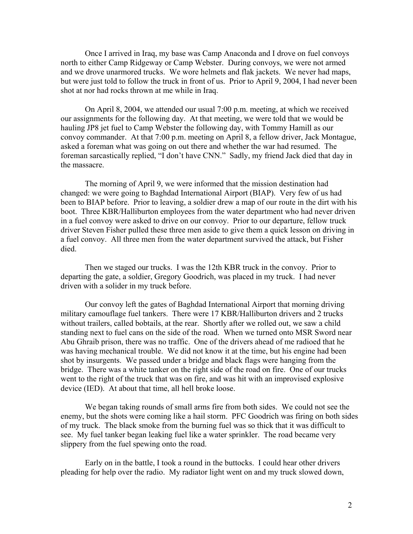Once I arrived in Iraq, my base was Camp Anaconda and I drove on fuel convoys north to either Camp Ridgeway or Camp Webster. During convoys, we were not armed and we drove unarmored trucks. We wore helmets and flak jackets. We never had maps, but were just told to follow the truck in front of us. Prior to April 9, 2004, I had never been shot at nor had rocks thrown at me while in Iraq.

On April 8, 2004, we attended our usual 7:00 p.m. meeting, at which we received our assignments for the following day. At that meeting, we were told that we would be hauling JP8 jet fuel to Camp Webster the following day, with Tommy Hamill as our convoy commander. At that 7:00 p.m. meeting on April 8, a fellow driver, Jack Montague, asked a foreman what was going on out there and whether the war had resumed. The foreman sarcastically replied, "I don't have CNN."Sadly, my friend Jack died that day in the massacre.

The morning of April 9, we were informed that the mission destination had changed: we were going to Baghdad International Airport (BIAP). Very few of us had been to BIAP before. Prior to leaving, a soldier drew a map of our route in the dirt with his boot. Three KBR/Halliburton employees from the water department who had never driven in a fuel convoy were asked to drive on our convoy. Prior to our departure, fellow truck driver Steven Fisher pulled these three men aside to give them a quick lesson on driving in a fuel convoy. All three men from the water department survived the attack, but Fisher died.

Then we staged our trucks. I was the 12th KBR truck in the convoy. Prior to departing the gate, a soldier, Gregory Goodrich, was placed in my truck. I had never driven with a solider in my truck before.

Our convoy left the gates of Baghdad International Airport that morning driving military camouflage fuel tankers. There were 17 KBR/Halliburton drivers and 2 trucks without trailers, called bobtails, at the rear. Shortly after we rolled out, we saw a child standing next to fuel cans on the side of the road. When we turned onto MSR Sword near Abu Ghraib prison, there was no traffic. One of the drivers ahead of me radioed that he was having mechanical trouble. We did not know it at the time, but his engine had been shot by insurgents. We passed under a bridge and black flags were hanging from the bridge. There was a white tanker on the right side of the road on fire. One of our trucks went to the right of the truck that was on fire, and was hit with an improvised explosive device (IED). At about that time, all hell broke loose.

We began taking rounds of small arms fire from both sides. We could not see the enemy, but the shots were coming like a hail storm. PFC Goodrich was firing on both sides of my truck. The black smoke from the burning fuel was so thick that it was difficult to see. My fuel tanker began leaking fuel like a water sprinkler. The road became very slippery from the fuel spewing onto the road.

Early on in the battle, I took a round in the buttocks. I could hear other drivers pleading for help over the radio. My radiator light went on and my truck slowed down,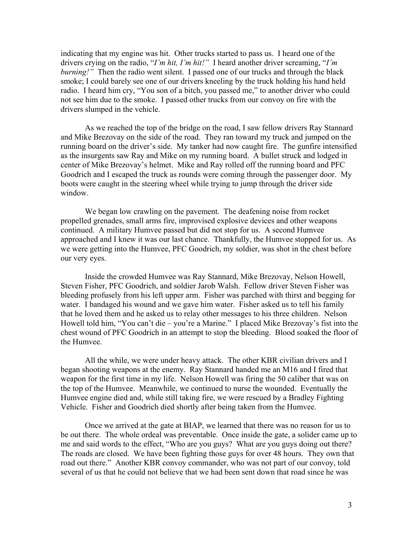indicating that my engine was hit. Other trucks started to pass us. I heard one of the drivers crying on the radio, "*I'm hit, I'm hit!"* I heard another driver screaming, "*I'm burning!*" Then the radio went silent. I passed one of our trucks and through the black smoke; I could barely see one of our drivers kneeling by the truck holding his hand held radio. I heard him cry, "You son of a bitch, you passed me," to another driver who could not see him due to the smoke. I passed other trucks from our convoy on fire with the drivers slumped in the vehicle.

As we reached the top of the bridge on the road, I saw fellow drivers Ray Stannard and Mike Brezovay on the side of the road. They ran toward my truck and jumped on the running board on the driver's side. My tanker had now caught fire. The gunfire intensified as the insurgents saw Ray and Mike on my running board. A bullet struck and lodged in center of Mike Brezovay's helmet. Mike and Ray rolled off the running board and PFC Goodrich and I escaped the truck as rounds were coming through the passenger door. My boots were caught in the steering wheel while trying to jump through the driver side window.

We began low crawling on the pavement. The deafening noise from rocket propelled grenades, small arms fire, improvised explosive devices and other weapons continued. A military Humvee passed but did not stop for us. A second Humvee approached and I knew it was our last chance. Thankfully, the Humvee stopped for us. As we were getting into the Humvee, PFC Goodrich, my soldier, was shot in the chest before our very eyes.

Inside the crowded Humvee was Ray Stannard, Mike Brezovay, Nelson Howell, Steven Fisher, PFC Goodrich, and soldier Jarob Walsh. Fellow driver Steven Fisher was bleeding profusely from his left upper arm. Fisher was parched with thirst and begging for water. I bandaged his wound and we gave him water. Fisher asked us to tell his family that he loved them and he asked us to relay other messages to his three children. Nelson Howell told him, "You can't die – you're a Marine." I placed Mike Brezovay's fist into the chest wound of PFC Goodrich in an attempt to stop the bleeding. Blood soaked the floor of the Humvee.

All the while, we were under heavy attack. The other KBR civilian drivers and I began shooting weapons at the enemy. Ray Stannard handed me an M16 and I fired that weapon for the first time in my life. Nelson Howell was firing the 50 caliber that was on the top of the Humvee. Meanwhile, we continued to nurse the wounded. Eventually the Humvee engine died and, while still taking fire, we were rescued by a Bradley Fighting Vehicle. Fisher and Goodrich died shortly after being taken from the Humvee.

Once we arrived at the gate at BIAP, we learned that there was no reason for us to be out there. The whole ordeal was preventable. Once inside the gate, a solider came up to me and said words to the effect, "Who are you guys? What are you guys doing out there? The roads are closed. We have been fighting those guys for over 48 hours. They own that road out there."Another KBR convoy commander, who was not part of our convoy, told several of us that he could not believe that we had been sent down that road since he was